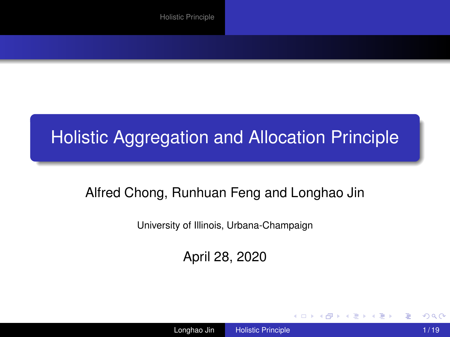### <span id="page-0-0"></span>Holistic Aggregation and Allocation Principle

#### Alfred Chong, Runhuan Feng and Longhao Jin

University of Illinois, Urbana-Champaign

April 28, 2020

э

イロメ 不優 トメ ヨ メ ス ヨ メー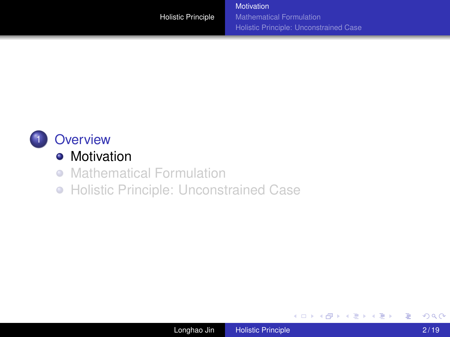<span id="page-1-0"></span>

### **•** [Motivation](#page-1-0)

- **[Mathematical Formulation](#page-7-0)**
- [Holistic Principle: Unconstrained Case](#page-9-0)

B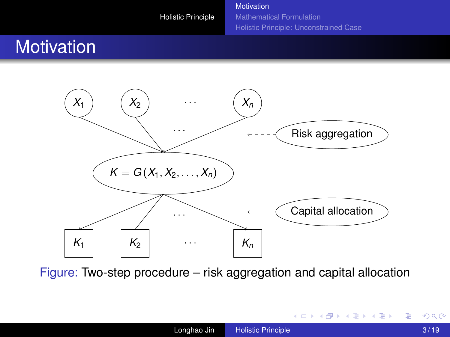[Motivation](#page-1-0) [Mathematical Formulation](#page-7-0) [Holistic Principle: Unconstrained Case](#page-9-0)

## **Motivation**



Figure: Two-step procedure – risk aggregation and capital allocation

 $\equiv$ 

 $(1 - 4)$   $(1 - 4)$   $(1 - 4)$   $(1 - 4)$   $(1 - 4)$   $(1 - 4)$   $(1 - 4)$   $(1 - 4)$   $(1 - 4)$   $(1 - 4)$   $(1 - 4)$   $(1 - 4)$   $(1 - 4)$   $(1 - 4)$   $(1 - 4)$   $(1 - 4)$   $(1 - 4)$   $(1 - 4)$   $(1 - 4)$   $(1 - 4)$   $(1 - 4)$   $(1 - 4)$   $(1 - 4)$   $(1 - 4)$   $(1 -$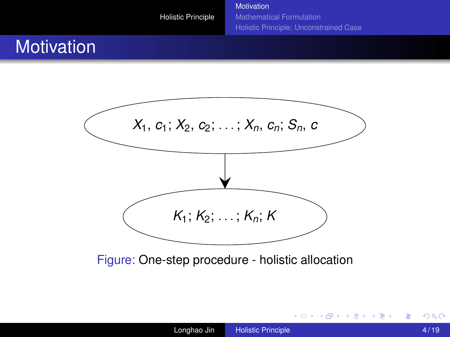[Motivation](#page-1-0) [Mathematical Formulation](#page-7-0) [Holistic Principle: Unconstrained Case](#page-9-0)

## **Motivation**



Figure: One-step procedure - holistic allocation

÷.

 $(1 - 4)$   $(1 - 4)$   $(1 - 4)$   $(1 - 4)$   $(1 - 4)$   $(1 - 4)$   $(1 - 4)$   $(1 - 4)$   $(1 - 4)$   $(1 - 4)$   $(1 - 4)$   $(1 - 4)$   $(1 - 4)$   $(1 - 4)$   $(1 - 4)$   $(1 - 4)$   $(1 - 4)$   $(1 - 4)$   $(1 - 4)$   $(1 - 4)$   $(1 - 4)$   $(1 - 4)$   $(1 - 4)$   $(1 - 4)$   $(1 -$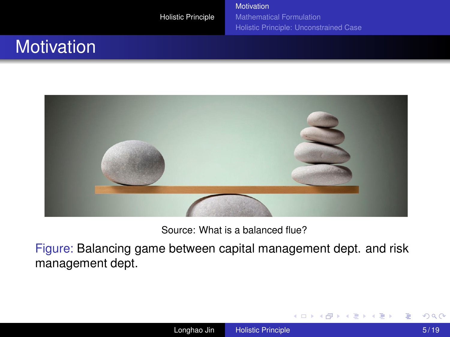[Motivation](#page-1-0) [Mathematical Formulation](#page-7-0) [Holistic Principle: Unconstrained Case](#page-9-0)

## **Motivation**



Source: What is a balanced flue?

Figure: Balancing game between capital management dept. and risk management dept.

ă

**K ロ ト K 何 ト K ヨ ト K ヨ ト**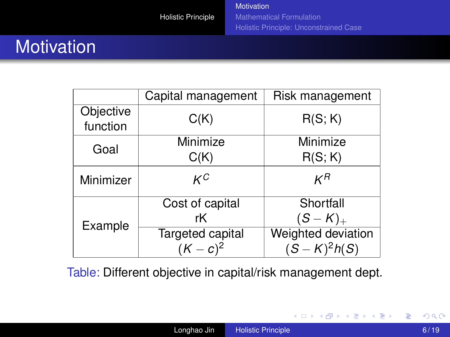## **Motivation**

|                       | Capital management | Risk management    |
|-----------------------|--------------------|--------------------|
| Objective<br>function | C(K)               | R(S; K)            |
| Goal                  | Minimize           | Minimize           |
|                       | C(K)               | R(S; K)            |
| Minimizer             | кC                 | κR                 |
| Example               | Cost of capital    | Shortfall          |
|                       | rК                 | $(S - K)_{+}$      |
|                       | Targeted capital   | Weighted deviation |
|                       | $(K - c)^2$        | $(S-K)^2h(S)$      |

Table: Different objective in capital/risk management dept.

÷.

メロメメ 御きメモ メモ おく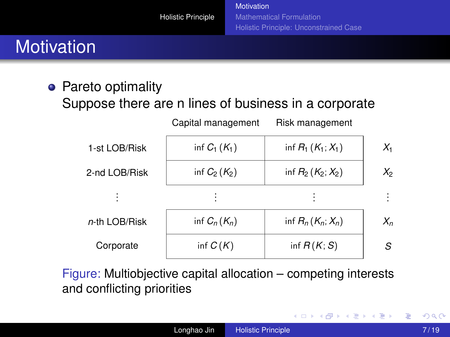## **Motivation**

• Pareto optimality Suppose there are n lines of business in a corporate

| 1-st LOB/Risk | inf $C_1(K_1)$ | inf $R_1(K_1; X_1)$ | $X_1$   |
|---------------|----------------|---------------------|---------|
| 2-nd LOB/Risk | inf $C_2(K_2)$ | inf $R_2(K_2; X_2)$ | $X_{2}$ |
|               |                |                     |         |
| n-th LOB/Risk | inf $C_n(K_n)$ | inf $R_n(K_n; X_n)$ | $X_n$   |
| Corporate     | inf $C(K)$     | inf $R(K; S)$       | S       |
|               |                |                     |         |

Capital management Risk management

Figure: Multiobjective capital allocation – competing interests and conflicting priorities

€

 $\left\{ \begin{array}{ccc} 1 & 0 & 0 \\ 0 & 1 & 0 \end{array} \right.$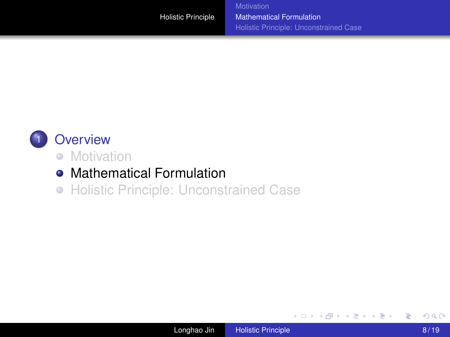<span id="page-7-0"></span>

#### **[Overview](#page-1-0)**

- **•** [Motivation](#page-1-0)
- [Mathematical Formulation](#page-7-0)
- [Holistic Principle: Unconstrained Case](#page-9-0)

B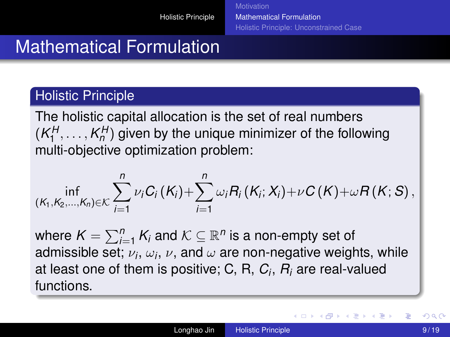## Mathematical Formulation

#### Holistic Principle

The holistic capital allocation is the set of real numbers  $(K_1^H, \ldots, K_n^H)$  given by the unique minimizer of the following multi-objective optimization problem:

$$
\inf_{(K_1,K_2,...,K_n)\in\mathcal{K}}\sum_{i=1}^n\nu_iC_i\left(K_i\right)+\sum_{i=1}^n\omega_iR_i\left(K_i;X_i\right)+\nu C\left(K\right)+\omega R\left(K;S\right),
$$

where  $\mathcal{K} = \sum_{i=1}^n \mathcal{K}_i$  and  $\mathcal{K} \subseteq \mathbb{R}^n$  is a non-empty set of admissible set;  $\nu_i,\,\omega_i,\,\nu,$  and  $\omega$  are non-negative weights, while at least one of them is positive; C, R, *C<sup>i</sup>* , *R<sup>i</sup>* are real-valued functions.

**K ロ ト K 何 ト K ヨ ト K ヨ ト**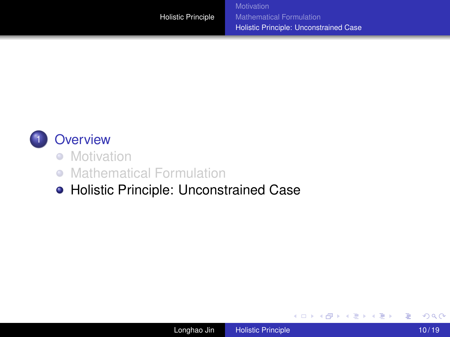<span id="page-9-0"></span>

#### **[Overview](#page-1-0)**

- [Motivation](#page-1-0)
- **[Mathematical Formulation](#page-7-0)**
- [Holistic Principle: Unconstrained Case](#page-9-0)

B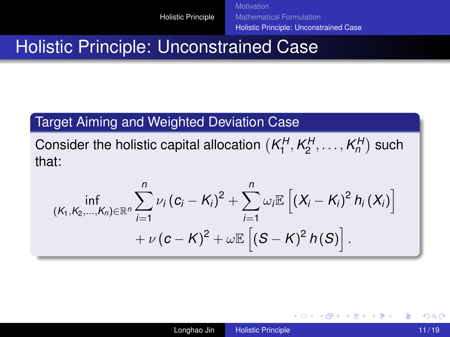[Mathematical Formulation](#page-7-0) [Holistic Principle: Unconstrained Case](#page-9-0)

### Holistic Principle: Unconstrained Case

#### Target Aiming and Weighted Deviation Case

Consider the holistic capital allocation  $(K_1^H, K_2^H, \ldots, K_n^H)$  such that:

$$
\inf_{(K_1, K_2,..., K_n) \in \mathbb{R}^n} \sum_{i=1}^n \nu_i (c_i - K_i)^2 + \sum_{i=1}^n \omega_i \mathbb{E} \left[ (X_i - K_i)^2 h_i(X_i) \right] + \nu (c - K)^2 + \omega \mathbb{E} \left[ (S - K)^2 h(S) \right].
$$

B

メロトメ 御 トメ 君 トメ 君 トッ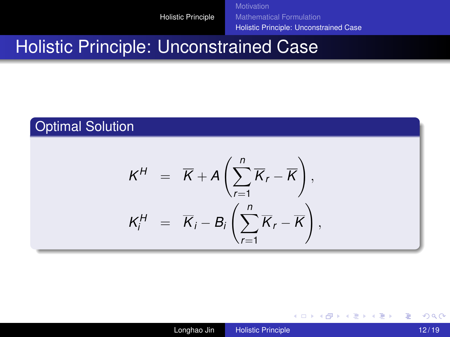[Motivation](#page-1-0) [Mathematical Formulation](#page-7-0) [Holistic Principle: Unconstrained Case](#page-9-0)

### Holistic Principle: Unconstrained Case

#### Optimal Solution

$$
K^H = \overline{K} + A\left(\sum_{r=1}^n \overline{K}_r - \overline{K}\right),
$$
  

$$
K_i^H = \overline{K}_i - B_i\left(\sum_{r=1}^n \overline{K}_r - \overline{K}\right),
$$

÷.

イロト イ押 トイヨ トイヨ トー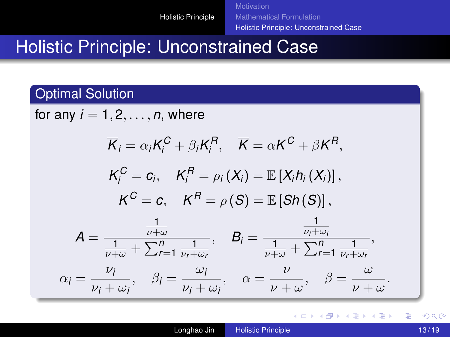[Mathematical Formulation](#page-7-0) [Holistic Principle: Unconstrained Case](#page-9-0)

### Holistic Principle: Unconstrained Case

#### Optimal Solution

for any  $i = 1, 2, \ldots, n$ , where

$$
\overline{K}_{i} = \alpha_{i}K_{i}^{C} + \beta_{i}K_{i}^{R}, \quad \overline{K} = \alpha K^{C} + \beta K^{R},
$$
\n
$$
K_{i}^{C} = c_{i}, \quad K_{i}^{R} = \rho_{i}(X_{i}) = \mathbb{E}[X_{i}h_{i}(X_{i})],
$$
\n
$$
K^{C} = c, \quad K^{R} = \rho(S) = \mathbb{E}[Sh(S)],
$$
\n
$$
A = \frac{\frac{1}{\nu + \omega}}{\frac{1}{\nu + \omega} + \sum_{r=1}^{n} \frac{1}{\nu_{r} + \omega_{r}}}, \quad B_{i} = \frac{\frac{1}{\nu_{i} + \omega_{i}}}{\frac{1}{\nu + \omega} + \sum_{r=1}^{n} \frac{1}{\nu_{r} + \omega_{r}}},
$$
\n
$$
\alpha_{i} = \frac{\nu_{i}}{\nu_{i} + \omega_{i}}, \quad \beta_{i} = \frac{\omega_{i}}{\nu_{i} + \omega_{i}}, \quad \alpha = \frac{\nu}{\nu + \omega}, \quad \beta = \frac{\omega}{\nu + \omega}.
$$

ă

**K ロ ト K 伺 ト K ヨ ト K ヨ ト**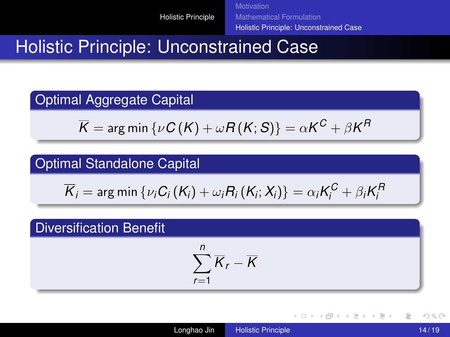[Mathematical Formulation](#page-7-0) [Holistic Principle: Unconstrained Case](#page-9-0)

### Holistic Principle: Unconstrained Case

#### Optimal Aggregate Capital

$$
\overline{\mathsf{K}}=\mathop{\mathsf{arg\,min\,}}\{\nu\mathsf{C}\left(\mathsf{K}\right)+\omega\mathsf{R}\left(\mathsf{K};\mathsf{S}\right)\}=\alpha\mathsf{K}^{\mathsf{C}}+\beta\mathsf{K}^{\mathsf{R}}
$$

#### Optimal Standalone Capital

$$
\overline{K}_{i}=\arg\min\left\{ \nu_{i}C_{i}\left(K_{i}\right)+\omega_{i}R_{i}\left(K_{i};X_{i}\right)\right\} =\alpha_{i}K_{i}^{C}+\beta_{i}K_{i}^{R}
$$

#### Diversification Benefit

$$
\sum_{r=1}^n \overline{K}_r - \overline{K}
$$

B

**K ロ ト K 何 ト K ヨ ト K ヨ ト**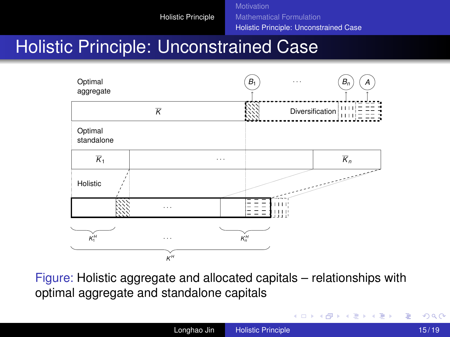[Mathematical Formulation](#page-7-0) [Holistic Principle: Unconstrained Case](#page-9-0)

### Holistic Principle: Unconstrained Case



Figure: Holistic aggregate and allocated capitals – relationships with optimal aggregate and standalone capitals

B

イロメ 不優 メイ君 メイ君 メー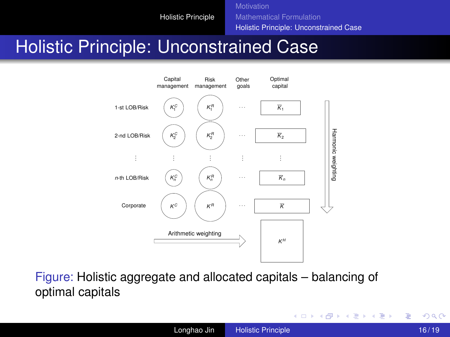**[Motivation](#page-1-0)** [Mathematical Formulation](#page-7-0) [Holistic Principle: Unconstrained Case](#page-9-0)

### Holistic Principle: Unconstrained Case



Figure: Holistic aggregate and allocated capitals – balancing of optimal capitals

ă.

 $\left\{ \begin{array}{ccc} 1 & 0 & 0 \\ 0 & 1 & 0 \end{array} \right.$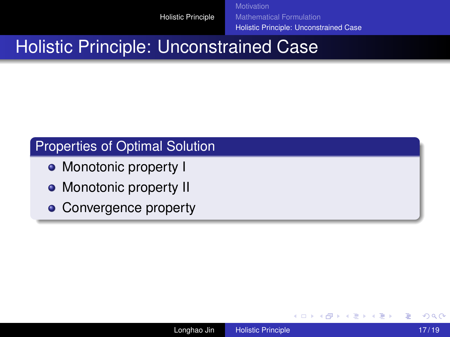[Mathematical Formulation](#page-7-0) [Holistic Principle: Unconstrained Case](#page-9-0)

### Holistic Principle: Unconstrained Case

#### Properties of Optimal Solution

- Monotonic property I
- Monotonic property II
- Convergence property

ă

イロメ イ押 メイヨメ イヨメ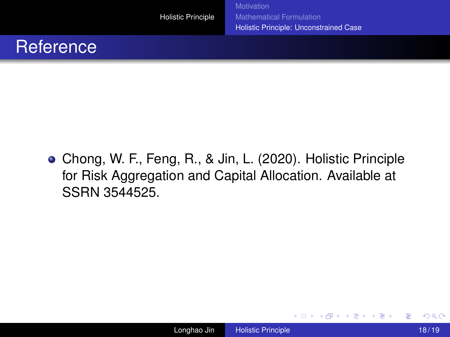[Mathematical Formulation](#page-7-0) [Holistic Principle: Unconstrained Case](#page-9-0)

### **Reference**

Chong, W. F., Feng, R., & Jin, L. (2020). Holistic Principle for Risk Aggregation and Capital Allocation. Available at SSRN 3544525.

э

イロメ イ押 メイヨメ イヨメ